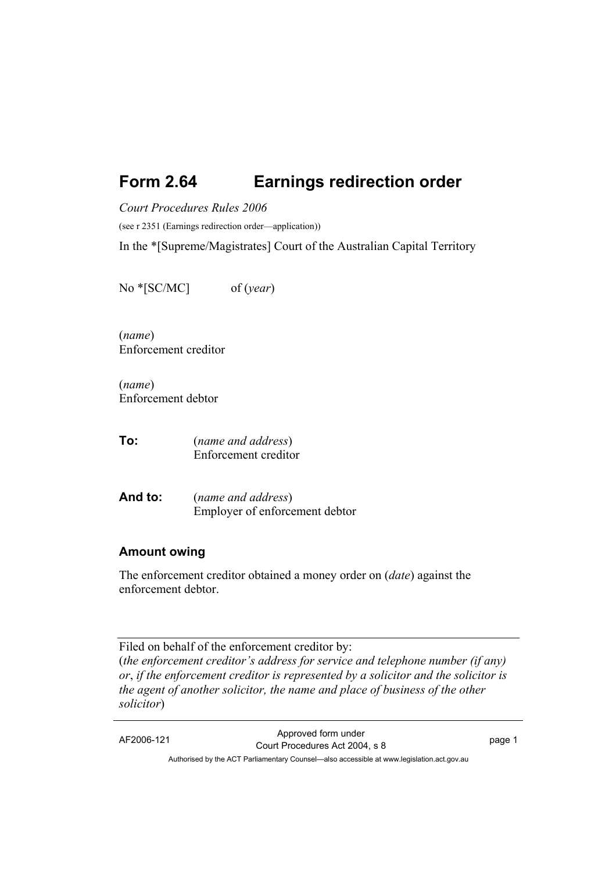# **Form 2.64 Earnings redirection order**

*Court Procedures Rules 2006* 

(see r 2351 (Earnings redirection order—application))

In the \*[Supreme/Magistrates] Court of the Australian Capital Territory

No \*[SC/MC] of (*year*)

(*name*) Enforcement creditor

(*name*) Enforcement debtor

**To:** (*name and address*) Enforcement creditor

**And to:** (*name and address*) Employer of enforcement debtor

#### **Amount owing**

The enforcement creditor obtained a money order on (*date*) against the enforcement debtor.

Filed on behalf of the enforcement creditor by: (*the enforcement creditor's address for service and telephone number (if any) or*, *if the enforcement creditor is represented by a solicitor and the solicitor is the agent of another solicitor, the name and place of business of the other solicitor*)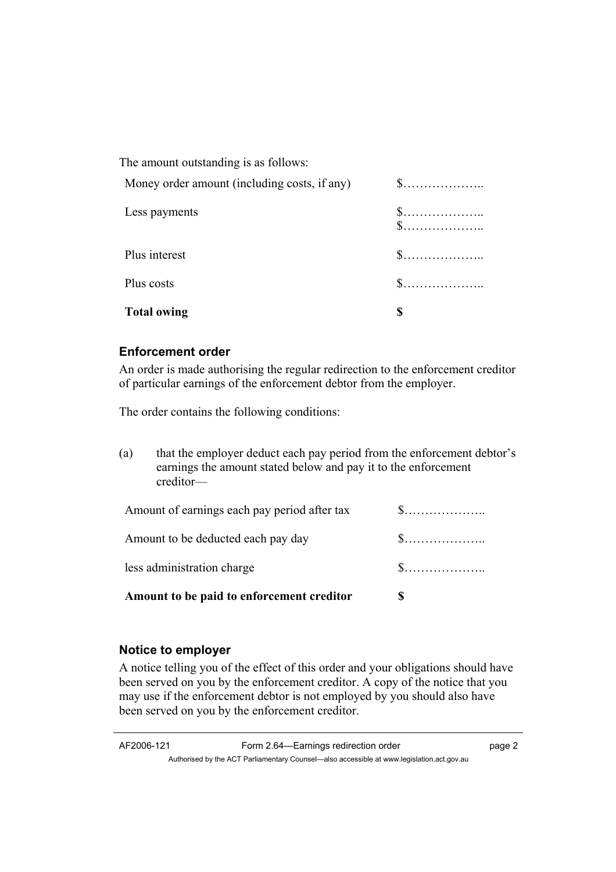| <b>Total owing</b>                           |                                                  |
|----------------------------------------------|--------------------------------------------------|
| Plus costs                                   | $\$\ldots\ldots\ldots\ldots\ldots\ldots$         |
| Plus interest                                | $\mathbb{S}$                                     |
| Less payments                                | $\$\ldots\ldots\ldots\ldots\ldots\ldots$<br>$\S$ |
| Money order amount (including costs, if any) | $\$\ldots\ldots\ldots\ldots\ldots\ldots$         |
| The amount outstanding is as follows:        |                                                  |

### **Enforcement order**

An order is made authorising the regular redirection to the enforcement creditor of particular earnings of the enforcement debtor from the employer.

The order contains the following conditions:

| (a)                        | that the employer deduct each pay period from the enforcement debtor's<br>earnings the amount stated below and pay it to the enforcement<br>creditor- |                                          |
|----------------------------|-------------------------------------------------------------------------------------------------------------------------------------------------------|------------------------------------------|
|                            | Amount of earnings each pay period after tax                                                                                                          | $\$\ldots\ldots\ldots\ldots\ldots\ldots$ |
|                            | Amount to be deducted each pay day                                                                                                                    | $\mathbb{S}$                             |
| less administration charge |                                                                                                                                                       | $\mathbb{S}$                             |
|                            | Amount to be paid to enforcement creditor                                                                                                             |                                          |

### **Notice to employer**

A notice telling you of the effect of this order and your obligations should have been served on you by the enforcement creditor. A copy of the notice that you may use if the enforcement debtor is not employed by you should also have been served on you by the enforcement creditor.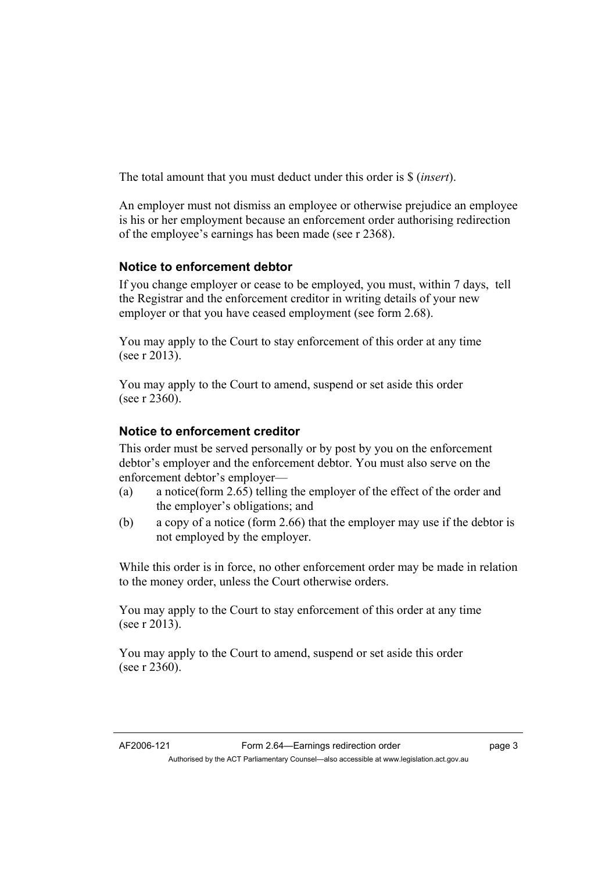The total amount that you must deduct under this order is \$ (*insert*).

An employer must not dismiss an employee or otherwise prejudice an employee is his or her employment because an enforcement order authorising redirection of the employee's earnings has been made (see r 2368).

## **Notice to enforcement debtor**

If you change employer or cease to be employed, you must, within 7 days, tell the Registrar and the enforcement creditor in writing details of your new employer or that you have ceased employment (see form 2.68).

You may apply to the Court to stay enforcement of this order at any time (see r 2013).

You may apply to the Court to amend, suspend or set aside this order (see r 2360).

## **Notice to enforcement creditor**

This order must be served personally or by post by you on the enforcement debtor's employer and the enforcement debtor. You must also serve on the enforcement debtor's employer—

- (a) a notice(form 2.65) telling the employer of the effect of the order and the employer's obligations; and
- (b) a copy of a notice (form 2.66) that the employer may use if the debtor is not employed by the employer.

While this order is in force, no other enforcement order may be made in relation to the money order, unless the Court otherwise orders.

You may apply to the Court to stay enforcement of this order at any time (see r 2013).

You may apply to the Court to amend, suspend or set aside this order (see r 2360).